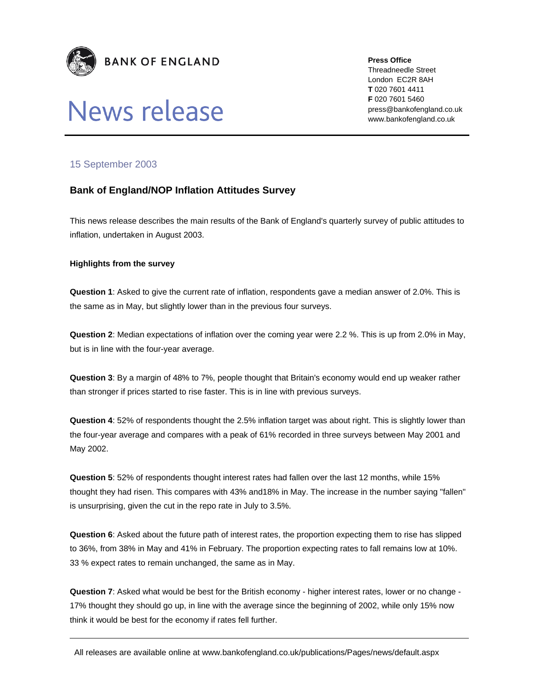

# News release

**Press Office** 

Threadneedle Street London EC2R 8AH **T** 020 7601 4411 **F** 020 7601 5460 press@bankofengland.co.uk www.bankofengland.co.uk

## 15 September 2003

## **Bank of England/NOP Inflation Attitudes Survey**

This news release describes the main results of the Bank of England's quarterly survey of public attitudes to inflation, undertaken in August 2003.

### **Highlights from the survey**

**Question 1**: Asked to give the current rate of inflation, respondents gave a median answer of 2.0%. This is the same as in May, but slightly lower than in the previous four surveys.

**Question 2**: Median expectations of inflation over the coming year were 2.2 %. This is up from 2.0% in May, but is in line with the four-year average.

**Question 3**: By a margin of 48% to 7%, people thought that Britain's economy would end up weaker rather than stronger if prices started to rise faster. This is in line with previous surveys.

**Question 4**: 52% of respondents thought the 2.5% inflation target was about right. This is slightly lower than the four-year average and compares with a peak of 61% recorded in three surveys between May 2001 and May 2002.

**Question 5**: 52% of respondents thought interest rates had fallen over the last 12 months, while 15% thought they had risen. This compares with 43% and18% in May. The increase in the number saying "fallen" is unsurprising, given the cut in the repo rate in July to 3.5%.

**Question 6**: Asked about the future path of interest rates, the proportion expecting them to rise has slipped to 36%, from 38% in May and 41% in February. The proportion expecting rates to fall remains low at 10%. 33 % expect rates to remain unchanged, the same as in May.

**Question 7**: Asked what would be best for the British economy - higher interest rates, lower or no change - 17% thought they should go up, in line with the average since the beginning of 2002, while only 15% now think it would be best for the economy if rates fell further.